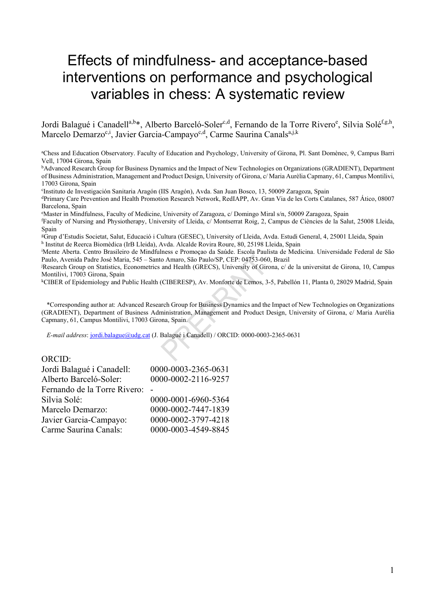# Effects of mindfulness- and acceptance-based interventions on performance and psychological variables in chess: A systematic review

Jordi Balagué i Canadell<sup>a,b\*</sup>, Alberto Barceló-Soler<sup>c,d</sup>, Fernando de la Torre Rivero<sup>e</sup>, Silvia Solé<sup>f,g,h</sup>, Marcelo Demarzo<sup>c,i</sup>, Javier Garcia-Campayo<sup>c,d</sup>, Carme Saurina Canals<sup>a,j,k</sup>

<sup>a</sup>Chess and Education Observatory. Faculty of Education and Psychology, University of Girona, Pl. Sant Domènec, 9, Campus Barri Vell, 17004 Girona, Spain

<sup>b</sup>Advanced Research Group for Business Dynamics and the Impact of New Technologies on Organizations (GRADIENT), Department of Business Administration, Management and Product Design, University of Girona, c/ Maria Aurèlia Capmany, 61, Campus Montilivi, 17003 Girona, Spain

c Instituto de Investigación Sanitaria Aragón (IIS Aragón), Avda. San Juan Bosco, 13, 50009 Zaragoza, Spain

<sup>d</sup>Primary Care Prevention and Health Promotion Research Network, RedIAPP, Av. Gran Via de les Corts Catalanes, 587 Ático, 08007 Barcelona, Spain

<sup>e</sup>Master in Mindfulness, Faculty of Medicine, University of Zaragoza, c/ Domingo Miral s/n, 50009 Zaragoza, Spain

<sup>f</sup>Faculty of Nursing and Physiotherapy, University of Lleida, c/ Montserrat Roig, 2, Campus de Ciències de la Salut, 25008 Lleida, Spain

<sup>g</sup>Grup d'Estudis Societat, Salut, Educació i Cultura (GESEC), University of Lleida, Avda. Estudi General, 4, 25001 Lleida, Spain h Institut de Reerca Biomèdica (IrB Lleida), Avda. Alcalde Rovira Roure, 80, 25198 Lleida, Spain

<sup>i</sup>Mente Aberta. Centro Brasileiro de Mindfulness e Promoçao da Saúde. Escola Paulista de Medicina. Universidade Federal de São Paulo, Avenida Padre José Maria, 545 – Santo Amaro, São Paulo/SP, CEP: 04753-060, Brazil

<sup>j</sup>Research Group on Statistics, Econometrics and Health (GRECS), University of Girona, c/ de la universitat de Girona, 10, Campus Montilivi, 17003 Girona, Spain

<sup>k</sup>CIBER of Epidemiology and Public Health (CIBERESP), Av. Monforte de Lemos, 3-5, Pabellón 11, Planta 0, 28029 Madrid, Spain

\*Corresponding author at: Advanced Research Group for Business Dynamics and the Impact of New Technologies on Organizations (GRADIENT), Department of Business Administration, Management and Product Design, University of Girona, c/ Maria Aurèlia Capmany, 61, Campus Montilivi, 17003 Girona, Spain.

E-mail address: jordi.balague@udg.cat (J. Balagué i Canadell) / ORCID: 0000-0003-2365-0631

#### ORCID:

| Jordi Balagué i Canadell:    | 0000-0003-2365-0631 |
|------------------------------|---------------------|
| Alberto Barceló-Soler:       | 0000-0002-2116-9257 |
| Fernando de la Torre Rivero: |                     |
| Silvia Solé:                 | 0000-0001-6960-5364 |
| Marcelo Demarzo:             | 0000-0002-7447-1839 |
| Javier Garcia-Campayo:       | 0000-0002-3797-4218 |
| Carme Saurina Canals:        | 0000-0003-4549-8845 |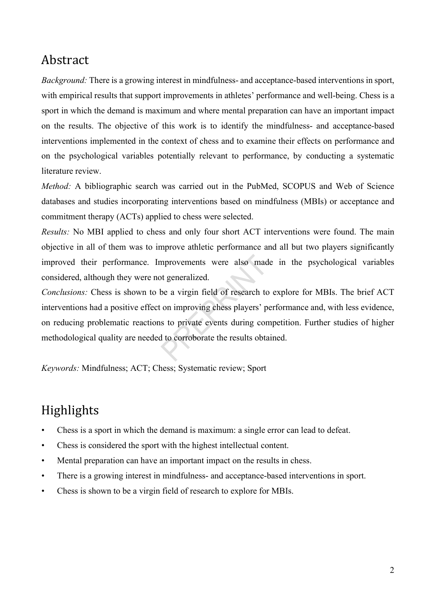# Abstract

Background: There is a growing interest in mindfulness- and acceptance-based interventions in sport, with empirical results that support improvements in athletes' performance and well-being. Chess is a sport in which the demand is maximum and where mental preparation can have an important impact on the results. The objective of this work is to identify the mindfulness- and acceptance-based interventions implemented in the context of chess and to examine their effects on performance and on the psychological variables potentially relevant to performance, by conducting a systematic literature review.

Method: A bibliographic search was carried out in the PubMed, SCOPUS and Web of Science databases and studies incorporating interventions based on mindfulness (MBIs) or acceptance and commitment therapy (ACTs) applied to chess were selected.

Results: No MBI applied to chess and only four short ACT interventions were found. The main objective in all of them was to improve athletic performance and all but two players significantly improved their performance. Improvements were also made in the psychological variables considered, although they were not generalized.

Conclusions: Chess is shown to be a virgin field of research to explore for MBIs. The brief ACT interventions had a positive effect on improving chess players' performance and, with less evidence, on reducing problematic reactions to private events during competition. Further studies of higher methodological quality are needed to corroborate the results obtained.

Keywords: Mindfulness; ACT; Chess; Systematic review; Sport

# Highlights

- Chess is a sport in which the demand is maximum: a single error can lead to defeat.
- Chess is considered the sport with the highest intellectual content.
- Mental preparation can have an important impact on the results in chess.
- There is a growing interest in mindfulness- and acceptance-based interventions in sport.
- Chess is shown to be a virgin field of research to explore for MBIs.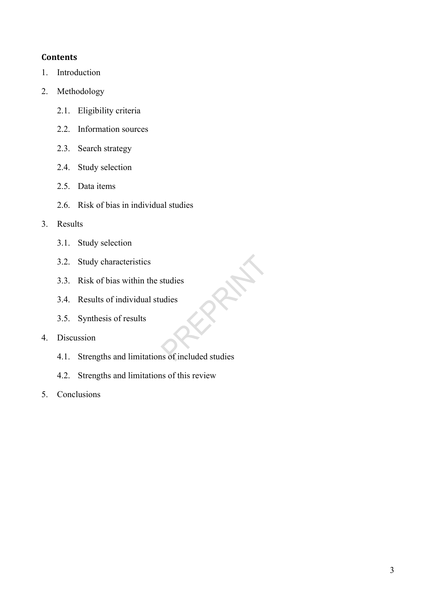## **Contents**

- 1. Introduction
- 2. Methodology
	- 2.1. Eligibility criteria
	- 2.2. Information sources
	- 2.3. Search strategy
	- 2.4. Study selection
	- 2.5. Data items
	- 2.6. Risk of bias in individual studies
- 3. Results
	- 3.1. Study selection
	- 3.2. Study characteristics
	- 3.3. Risk of bias within the studies
	- 3.4. Results of individual studies
	- 3.5. Synthesis of results
- 4. Discussion
	- 4.1. Strengths and limitations of included studies
	- 4.2. Strengths and limitations of this review
- 5. Conclusions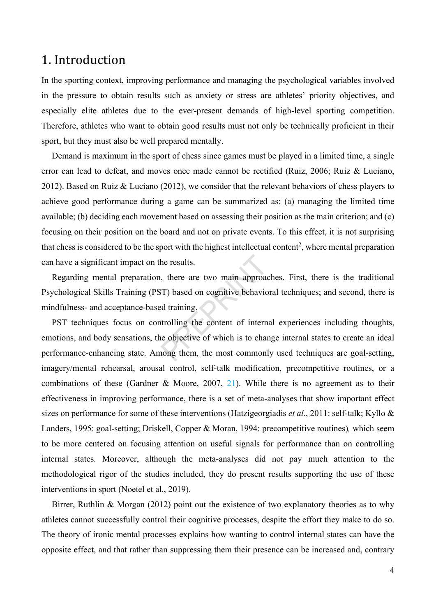## 1. Introduction

In the sporting context, improving performance and managing the psychological variables involved in the pressure to obtain results such as anxiety or stress are athletes' priority objectives, and especially elite athletes due to the ever-present demands of high-level sporting competition. Therefore, athletes who want to obtain good results must not only be technically proficient in their sport, but they must also be well prepared mentally.

Demand is maximum in the sport of chess since games must be played in a limited time, a single error can lead to defeat, and moves once made cannot be rectified (Ruiz, 2006; Ruiz & Luciano, 2012). Based on Ruiz & Luciano (2012), we consider that the relevant behaviors of chess players to achieve good performance during a game can be summarized as: (a) managing the limited time available; (b) deciding each movement based on assessing their position as the main criterion; and (c) focusing on their position on the board and not on private events. To this effect, it is not surprising that chess is considered to be the sport with the highest intellectual content<sup>2</sup>, where mental preparation can have a significant impact on the results.

Regarding mental preparation, there are two main approaches. First, there is the traditional Psychological Skills Training (PST) based on cognitive behavioral techniques; and second, there is mindfulness- and acceptance-based training.

PST techniques focus on controlling the content of internal experiences including thoughts, emotions, and body sensations, the objective of which is to change internal states to create an ideal performance-enhancing state. Among them, the most commonly used techniques are goal-setting, imagery/mental rehearsal, arousal control, self-talk modification, precompetitive routines, or a combinations of these (Gardner & Moore, 2007, 21). While there is no agreement as to their effectiveness in improving performance, there is a set of meta-analyses that show important effect sizes on performance for some of these interventions (Hatzigeorgiadis *et al.*, 2011: self-talk; Kyllo & Landers, 1995: goal-setting; Driskell, Copper & Moran, 1994: precompetitive routines), which seem to be more centered on focusing attention on useful signals for performance than on controlling internal states. Moreover, although the meta-analyses did not pay much attention to the methodological rigor of the studies included, they do present results supporting the use of these interventions in sport (Noetel et al., 2019).

Birrer, Ruthlin & Morgan (2012) point out the existence of two explanatory theories as to why athletes cannot successfully control their cognitive processes, despite the effort they make to do so. The theory of ironic mental processes explains how wanting to control internal states can have the opposite effect, and that rather than suppressing them their presence can be increased and, contrary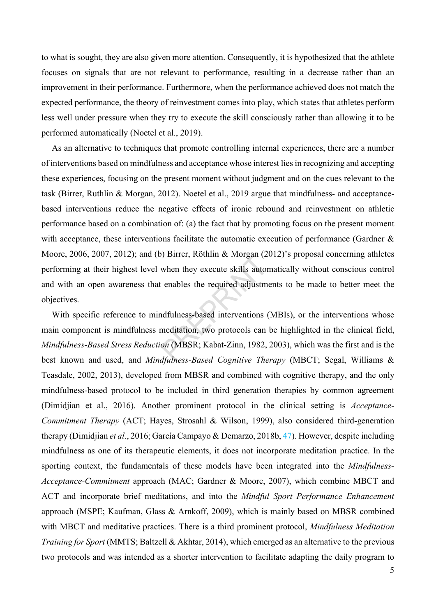to what is sought, they are also given more attention. Consequently, it is hypothesized that the athlete focuses on signals that are not relevant to performance, resulting in a decrease rather than an improvement in their performance. Furthermore, when the performance achieved does not match the expected performance, the theory of reinvestment comes into play, which states that athletes perform less well under pressure when they try to execute the skill consciously rather than allowing it to be performed automatically (Noetel et al., 2019).

As an alternative to techniques that promote controlling internal experiences, there are a number of interventions based on mindfulness and acceptance whose interest lies in recognizing and accepting these experiences, focusing on the present moment without judgment and on the cues relevant to the task (Birrer, Ruthlin & Morgan, 2012). Noetel et al., 2019 argue that mindfulness- and acceptancebased interventions reduce the negative effects of ironic rebound and reinvestment on athletic performance based on a combination of: (a) the fact that by promoting focus on the present moment with acceptance, these interventions facilitate the automatic execution of performance (Gardner & Moore, 2006, 2007, 2012); and (b) Birrer, Röthlin & Morgan (2012)'s proposal concerning athletes performing at their highest level when they execute skills automatically without conscious control and with an open awareness that enables the required adjustments to be made to better meet the objectives.

With specific reference to mindfulness-based interventions (MBIs), or the interventions whose main component is mindfulness meditation, two protocols can be highlighted in the clinical field, Mindfulness-Based Stress Reduction (MBSR; Kabat-Zinn, 1982, 2003), which was the first and is the best known and used, and Mindfulness-Based Cognitive Therapy (MBCT; Segal, Williams & Teasdale, 2002, 2013), developed from MBSR and combined with cognitive therapy, and the only mindfulness-based protocol to be included in third generation therapies by common agreement (Dimidjian et al., 2016). Another prominent protocol in the clinical setting is Acceptance-Commitment Therapy (ACT; Hayes, Strosahl & Wilson, 1999), also considered third-generation therapy (Dimidjian et al., 2016; García Campayo & Demarzo, 2018b, 47). However, despite including mindfulness as one of its therapeutic elements, it does not incorporate meditation practice. In the sporting context, the fundamentals of these models have been integrated into the *Mindfulness*-Acceptance-Commitment approach (MAC; Gardner & Moore, 2007), which combine MBCT and ACT and incorporate brief meditations, and into the *Mindful Sport Performance Enhancement* approach (MSPE; Kaufman, Glass & Arnkoff, 2009), which is mainly based on MBSR combined with MBCT and meditative practices. There is a third prominent protocol, *Mindfulness Meditation* Training for Sport (MMTS; Baltzell & Akhtar, 2014), which emerged as an alternative to the previous two protocols and was intended as a shorter intervention to facilitate adapting the daily program to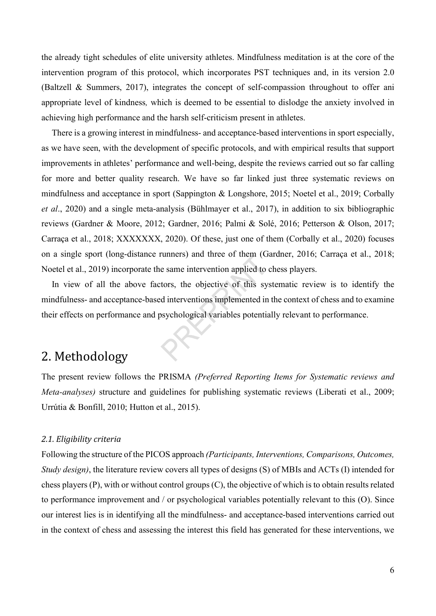the already tight schedules of elite university athletes. Mindfulness meditation is at the core of the intervention program of this protocol, which incorporates PST techniques and, in its version 2.0 (Baltzell & Summers, 2017), integrates the concept of self-compassion throughout to offer ani appropriate level of kindness, which is deemed to be essential to dislodge the anxiety involved in achieving high performance and the harsh self-criticism present in athletes.

There is a growing interest in mindfulness- and acceptance-based interventions in sport especially, as we have seen, with the development of specific protocols, and with empirical results that support improvements in athletes' performance and well-being, despite the reviews carried out so far calling for more and better quality research. We have so far linked just three systematic reviews on mindfulness and acceptance in sport (Sappington & Longshore, 2015; Noetel et al., 2019; Corbally et al., 2020) and a single meta-analysis (Bühlmayer et al., 2017), in addition to six bibliographic reviews (Gardner & Moore, 2012; Gardner, 2016; Palmi & Solé, 2016; Petterson & Olson, 2017; Carraça et al., 2018; XXXXXXX, 2020). Of these, just one of them (Corbally et al., 2020) focuses on a single sport (long-distance runners) and three of them (Gardner, 2016; Carraça et al., 2018; Noetel et al., 2019) incorporate the same intervention applied to chess players.

In view of all the above factors, the objective of this systematic review is to identify the mindfulness- and acceptance-based interventions implemented in the context of chess and to examine their effects on performance and psychological variables potentially relevant to performance.

# 2. Methodology

The present review follows the PRISMA (Preferred Reporting Items for Systematic reviews and Meta-analyses) structure and guidelines for publishing systematic reviews (Liberati et al., 2009; Urrútia & Bonfill, 2010; Hutton et al., 2015).

## 2.1. Eligibility criteria

Following the structure of the PICOS approach (Participants, Interventions, Comparisons, Outcomes, Study design), the literature review covers all types of designs (S) of MBIs and ACTs (I) intended for chess players (P), with or without control groups (C), the objective of which is to obtain results related to performance improvement and / or psychological variables potentially relevant to this (O). Since our interest lies is in identifying all the mindfulness- and acceptance-based interventions carried out in the context of chess and assessing the interest this field has generated for these interventions, we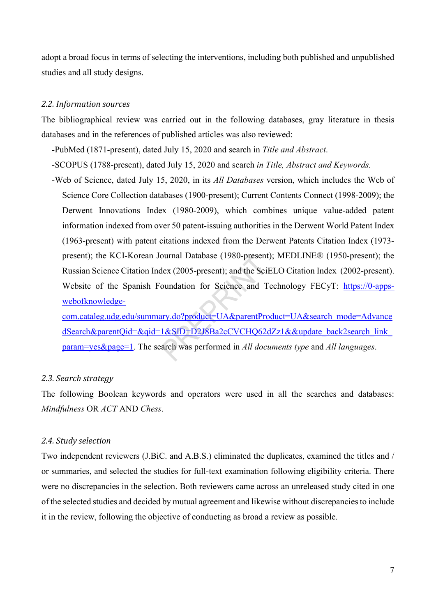adopt a broad focus in terms of selecting the interventions, including both published and unpublished studies and all study designs.

## 2.2. Information sources

The bibliographical review was carried out in the following databases, gray literature in thesis databases and in the references of published articles was also reviewed:

-PubMed (1871-present), dated July 15, 2020 and search in Title and Abstract.

- -SCOPUS (1788-present), dated July 15, 2020 and search in Title, Abstract and Keywords.
- -Web of Science, dated July 15, 2020, in its All Databases version, which includes the Web of Science Core Collection databases (1900-present); Current Contents Connect (1998-2009); the Derwent Innovations Index (1980-2009), which combines unique value-added patent information indexed from over 50 patent-issuing authorities in the Derwent World Patent Index (1963-present) with patent citations indexed from the Derwent Patents Citation Index (1973 present); the KCI-Korean Journal Database (1980-present); MEDLINE® (1950-present); the Russian Science Citation Index (2005-present); and the SciELO Citation Index (2002-present). Website of the Spanish Foundation for Science and Technology FECyT: https://0-appswebofknowledge-

com.cataleg.udg.edu/summary.do?product=UA&parentProduct=UA&search\_mode=Advance dSearch&parentQid=&qid=1&SID=D2J8Ba2cCVCHQ62dZz1&&update\_back2search\_link param=yes&page=1. The search was performed in All documents type and All languages.

### 2.3. Search strategy

The following Boolean keywords and operators were used in all the searches and databases: Mindfulness OR ACT AND Chess.

## 2.4. Study selection

Two independent reviewers (J.BiC. and A.B.S.) eliminated the duplicates, examined the titles and / or summaries, and selected the studies for full-text examination following eligibility criteria. There were no discrepancies in the selection. Both reviewers came across an unreleased study cited in one of the selected studies and decided by mutual agreement and likewise without discrepancies to include it in the review, following the objective of conducting as broad a review as possible.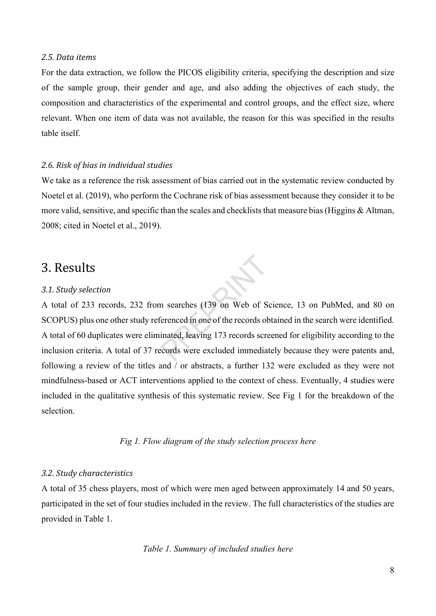#### 2.5. Data items

For the data extraction, we follow the PICOS eligibility criteria, specifying the description and size of the sample group, their gender and age, and also adding the objectives of each study, the composition and characteristics of the experimental and control groups, and the effect size, where relevant. When one item of data was not available, the reason for this was specified in the results table itself.

## 2.6. Risk of bias in individual studies

We take as a reference the risk assessment of bias carried out in the systematic review conducted by Noetel et al. (2019), who perform the Cochrane risk of bias assessment because they consider it to be more valid, sensitive, and specific than the scales and checklists that measure bias (Higgins & Altman, 2008; cited in Noetel et al., 2019).

## 3. Results

#### 3.1. Study selection

A total of 233 records, 232 from searches (139 on Web of Science, 13 on PubMed, and 80 on SCOPUS) plus one other study referenced in one of the records obtained in the search were identified. A total of 60 duplicates were eliminated, leaving 173 records screened for eligibility according to the inclusion criteria. A total of 37 records were excluded immediately because they were patents and, following a review of the titles and / or abstracts, a further 132 were excluded as they were not mindfulness-based or ACT interventions applied to the context of chess. Eventually, 4 studies were included in the qualitative synthesis of this systematic review. See Fig 1 for the breakdown of the selection.

Fig 1. Flow diagram of the study selection process here

## 3.2. Study characteristics

A total of 35 chess players, most of which were men aged between approximately 14 and 50 years, participated in the set of four studies included in the review. The full characteristics of the studies are provided in Table 1.

Table 1. Summary of included studies here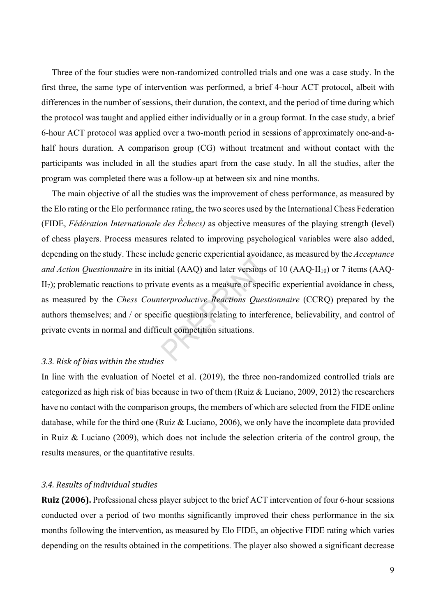Three of the four studies were non-randomized controlled trials and one was a case study. In the first three, the same type of intervention was performed, a brief 4-hour ACT protocol, albeit with differences in the number of sessions, their duration, the context, and the period of time during which the protocol was taught and applied either individually or in a group format. In the case study, a brief 6-hour ACT protocol was applied over a two-month period in sessions of approximately one-and-ahalf hours duration. A comparison group (CG) without treatment and without contact with the participants was included in all the studies apart from the case study. In all the studies, after the program was completed there was a follow-up at between six and nine months.

The main objective of all the studies was the improvement of chess performance, as measured by the Elo rating or the Elo performance rating, the two scores used by the International Chess Federation (FIDE, Fédération Internationale des Échecs) as objective measures of the playing strength (level) of chess players. Process measures related to improving psychological variables were also added, depending on the study. These include generic experiential avoidance, as measured by the *Acceptance* and Action Questionnaire in its initial (AAQ) and later versions of 10 (AAQ-II<sub>10</sub>) or 7 items (AAQ- $II<sub>7</sub>$ ; problematic reactions to private events as a measure of specific experiential avoidance in chess, as measured by the Chess Counterproductive Reactions Questionnaire (CCRQ) prepared by the authors themselves; and / or specific questions relating to interference, believability, and control of private events in normal and difficult competition situations.

## 3.3. Risk of bias within the studies

In line with the evaluation of Noetel et al. (2019), the three non-randomized controlled trials are categorized as high risk of bias because in two of them (Ruiz & Luciano, 2009, 2012) the researchers have no contact with the comparison groups, the members of which are selected from the FIDE online database, while for the third one (Ruiz & Luciano, 2006), we only have the incomplete data provided in Ruiz & Luciano (2009), which does not include the selection criteria of the control group, the results measures, or the quantitative results.

#### 3.4. Results of individual studies

Ruiz (2006). Professional chess player subject to the brief ACT intervention of four 6-hour sessions conducted over a period of two months significantly improved their chess performance in the six months following the intervention, as measured by Elo FIDE, an objective FIDE rating which varies depending on the results obtained in the competitions. The player also showed a significant decrease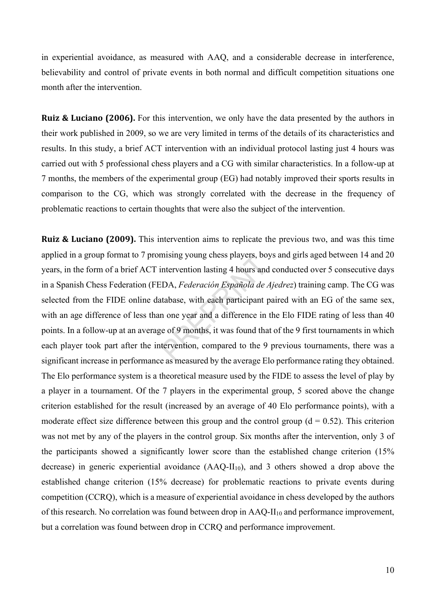in experiential avoidance, as measured with AAQ, and a considerable decrease in interference, believability and control of private events in both normal and difficult competition situations one month after the intervention.

Ruiz & Luciano (2006). For this intervention, we only have the data presented by the authors in their work published in 2009, so we are very limited in terms of the details of its characteristics and results. In this study, a brief ACT intervention with an individual protocol lasting just 4 hours was carried out with 5 professional chess players and a CG with similar characteristics. In a follow-up at 7 months, the members of the experimental group (EG) had notably improved their sports results in comparison to the CG, which was strongly correlated with the decrease in the frequency of problematic reactions to certain thoughts that were also the subject of the intervention.

Ruiz & Luciano (2009). This intervention aims to replicate the previous two, and was this time applied in a group format to 7 promising young chess players, boys and girls aged between 14 and 20 years, in the form of a brief ACT intervention lasting 4 hours and conducted over 5 consecutive days in a Spanish Chess Federation (FEDA, Federación Española de Ajedrez) training camp. The CG was selected from the FIDE online database, with each participant paired with an EG of the same sex, with an age difference of less than one year and a difference in the Elo FIDE rating of less than 40 points. In a follow-up at an average of 9 months, it was found that of the 9 first tournaments in which each player took part after the intervention, compared to the 9 previous tournaments, there was a significant increase in performance as measured by the average Elo performance rating they obtained. The Elo performance system is a theoretical measure used by the FIDE to assess the level of play by a player in a tournament. Of the 7 players in the experimental group, 5 scored above the change criterion established for the result (increased by an average of 40 Elo performance points), with a moderate effect size difference between this group and the control group ( $d = 0.52$ ). This criterion was not met by any of the players in the control group. Six months after the intervention, only 3 of the participants showed a significantly lower score than the established change criterion (15% decrease) in generic experiential avoidance  $(AAQ-II<sub>10</sub>)$ , and 3 others showed a drop above the established change criterion (15% decrease) for problematic reactions to private events during competition (CCRQ), which is a measure of experiential avoidance in chess developed by the authors of this research. No correlation was found between drop in  $AAQ-H_{10}$  and performance improvement, but a correlation was found between drop in CCRQ and performance improvement.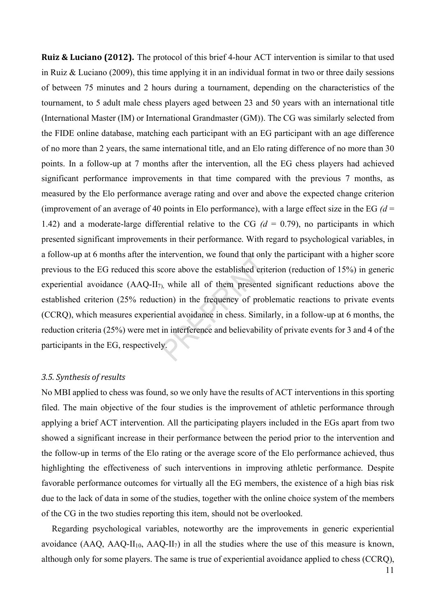Ruiz & Luciano (2012). The protocol of this brief 4-hour ACT intervention is similar to that used in Ruiz & Luciano (2009), this time applying it in an individual format in two or three daily sessions of between 75 minutes and 2 hours during a tournament, depending on the characteristics of the tournament, to 5 adult male chess players aged between 23 and 50 years with an international title (International Master (IM) or International Grandmaster (GM)). The CG was similarly selected from the FIDE online database, matching each participant with an EG participant with an age difference of no more than 2 years, the same international title, and an Elo rating difference of no more than 30 points. In a follow-up at 7 months after the intervention, all the EG chess players had achieved significant performance improvements in that time compared with the previous 7 months, as measured by the Elo performance average rating and over and above the expected change criterion (improvement of an average of 40 points in Elo performance), with a large effect size in the EG  $(d =$ 1.42) and a moderate-large differential relative to the CG  $(d = 0.79)$ , no participants in which presented significant improvements in their performance. With regard to psychological variables, in a follow-up at 6 months after the intervention, we found that only the participant with a higher score previous to the EG reduced this score above the established criterion (reduction of 15%) in generic experiential avoidance  $(AAQ-II<sub>7)</sub>$ , while all of them presented significant reductions above the established criterion (25% reduction) in the frequency of problematic reactions to private events (CCRQ), which measures experiential avoidance in chess. Similarly, in a follow-up at 6 months, the reduction criteria (25%) were met in interference and believability of private events for 3 and 4 of the participants in the EG, respectively.

## 3.5. Synthesis of results

No MBI applied to chess was found, so we only have the results of ACT interventions in this sporting filed. The main objective of the four studies is the improvement of athletic performance through applying a brief ACT intervention. All the participating players included in the EGs apart from two showed a significant increase in their performance between the period prior to the intervention and the follow-up in terms of the Elo rating or the average score of the Elo performance achieved, thus highlighting the effectiveness of such interventions in improving athletic performance. Despite favorable performance outcomes for virtually all the EG members, the existence of a high bias risk due to the lack of data in some of the studies, together with the online choice system of the members of the CG in the two studies reporting this item, should not be overlooked.

Regarding psychological variables, noteworthy are the improvements in generic experiential avoidance (AAQ, AAQ-II<sub>10</sub>, AAQ-II<sub>7</sub>) in all the studies where the use of this measure is known, although only for some players. The same is true of experiential avoidance applied to chess (CCRQ),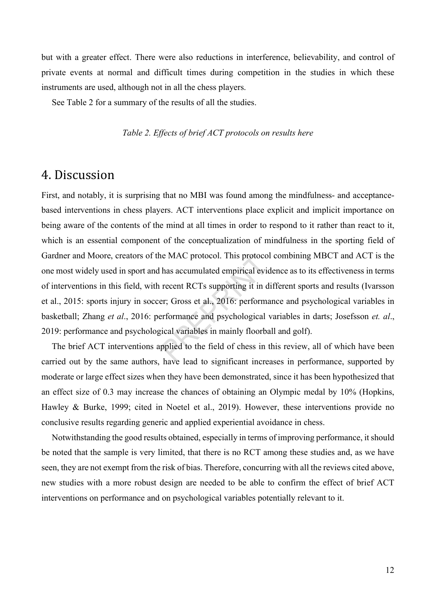but with a greater effect. There were also reductions in interference, believability, and control of private events at normal and difficult times during competition in the studies in which these instruments are used, although not in all the chess players.

See Table 2 for a summary of the results of all the studies.

Table 2. Effects of brief ACT protocols on results here

## 4. Discussion

First, and notably, it is surprising that no MBI was found among the mindfulness- and acceptancebased interventions in chess players. ACT interventions place explicit and implicit importance on being aware of the contents of the mind at all times in order to respond to it rather than react to it, which is an essential component of the conceptualization of mindfulness in the sporting field of Gardner and Moore, creators of the MAC protocol. This protocol combining MBCT and ACT is the one most widely used in sport and has accumulated empirical evidence as to its effectiveness in terms of interventions in this field, with recent RCTs supporting it in different sports and results (Ivarsson et al., 2015: sports injury in soccer; Gross et al., 2016: performance and psychological variables in basketball; Zhang et al., 2016: performance and psychological variables in darts; Josefsson et. al., 2019: performance and psychological variables in mainly floorball and golf).

The brief ACT interventions applied to the field of chess in this review, all of which have been carried out by the same authors, have lead to significant increases in performance, supported by moderate or large effect sizes when they have been demonstrated, since it has been hypothesized that an effect size of 0.3 may increase the chances of obtaining an Olympic medal by 10% (Hopkins, Hawley & Burke, 1999; cited in Noetel et al., 2019). However, these interventions provide no conclusive results regarding generic and applied experiential avoidance in chess.

Notwithstanding the good results obtained, especially in terms of improving performance, it should be noted that the sample is very limited, that there is no RCT among these studies and, as we have seen, they are not exempt from the risk of bias. Therefore, concurring with all the reviews cited above, new studies with a more robust design are needed to be able to confirm the effect of brief ACT interventions on performance and on psychological variables potentially relevant to it.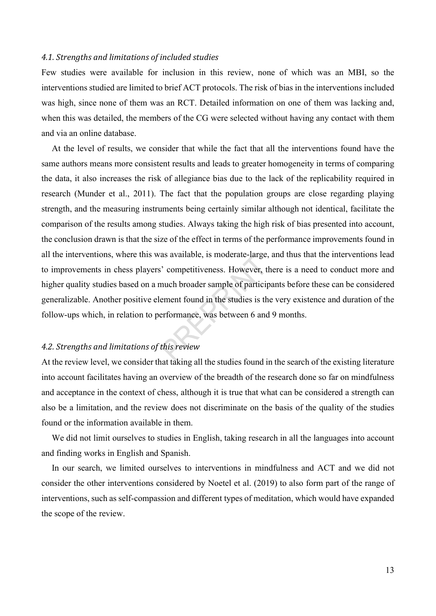### 4.1. Strengths and limitations of included studies

Few studies were available for inclusion in this review, none of which was an MBI, so the interventions studied are limited to brief ACT protocols. The risk of bias in the interventions included was high, since none of them was an RCT. Detailed information on one of them was lacking and, when this was detailed, the members of the CG were selected without having any contact with them and via an online database.

At the level of results, we consider that while the fact that all the interventions found have the same authors means more consistent results and leads to greater homogeneity in terms of comparing the data, it also increases the risk of allegiance bias due to the lack of the replicability required in research (Munder et al., 2011). The fact that the population groups are close regarding playing strength, and the measuring instruments being certainly similar although not identical, facilitate the comparison of the results among studies. Always taking the high risk of bias presented into account, the conclusion drawn is that the size of the effect in terms of the performance improvements found in all the interventions, where this was available, is moderate-large, and thus that the interventions lead to improvements in chess players' competitiveness. However, there is a need to conduct more and higher quality studies based on a much broader sample of participants before these can be considered generalizable. Another positive element found in the studies is the very existence and duration of the follow-ups which, in relation to performance, was between 6 and 9 months.

## 4.2. Strengths and limitations of this review

At the review level, we consider that taking all the studies found in the search of the existing literature into account facilitates having an overview of the breadth of the research done so far on mindfulness and acceptance in the context of chess, although it is true that what can be considered a strength can also be a limitation, and the review does not discriminate on the basis of the quality of the studies found or the information available in them.

We did not limit ourselves to studies in English, taking research in all the languages into account and finding works in English and Spanish.

In our search, we limited ourselves to interventions in mindfulness and ACT and we did not consider the other interventions considered by Noetel et al. (2019) to also form part of the range of interventions, such as self-compassion and different types of meditation, which would have expanded the scope of the review.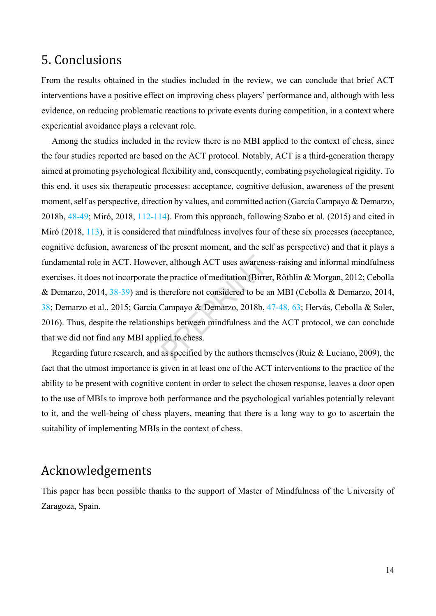# 5. Conclusions

From the results obtained in the studies included in the review, we can conclude that brief ACT interventions have a positive effect on improving chess players' performance and, although with less evidence, on reducing problematic reactions to private events during competition, in a context where experiential avoidance plays a relevant role.

Among the studies included in the review there is no MBI applied to the context of chess, since the four studies reported are based on the ACT protocol. Notably, ACT is a third-generation therapy aimed at promoting psychological flexibility and, consequently, combating psychological rigidity. To this end, it uses six therapeutic processes: acceptance, cognitive defusion, awareness of the present moment, self as perspective, direction by values, and committed action (García Campayo & Demarzo, 2018b, 48-49; Miró, 2018, 112-114). From this approach, following Szabo et al. (2015) and cited in Miró (2018, 113), it is considered that mindfulness involves four of these six processes (acceptance, cognitive defusion, awareness of the present moment, and the self as perspective) and that it plays a fundamental role in ACT. However, although ACT uses awareness-raising and informal mindfulness exercises, it does not incorporate the practice of meditation (Birrer, Röthlin & Morgan, 2012; Cebolla & Demarzo, 2014, 38-39) and is therefore not considered to be an MBI (Cebolla & Demarzo, 2014, 38; Demarzo et al., 2015; García Campayo & Demarzo, 2018b, 47-48, 63; Hervás, Cebolla & Soler, 2016). Thus, despite the relationships between mindfulness and the ACT protocol, we can conclude that we did not find any MBI applied to chess.

Regarding future research, and as specified by the authors themselves (Ruiz & Luciano, 2009), the fact that the utmost importance is given in at least one of the ACT interventions to the practice of the ability to be present with cognitive content in order to select the chosen response, leaves a door open to the use of MBIs to improve both performance and the psychological variables potentially relevant to it, and the well-being of chess players, meaning that there is a long way to go to ascertain the suitability of implementing MBIs in the context of chess.

# Acknowledgements

This paper has been possible thanks to the support of Master of Mindfulness of the University of Zaragoza, Spain.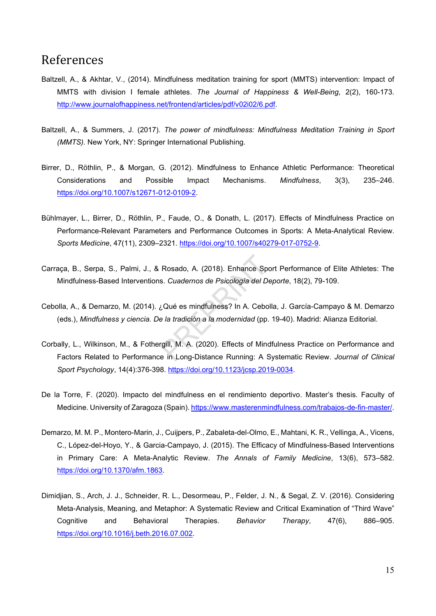## References

- Baltzell, A., & Akhtar, V., (2014). Mindfulness meditation training for sport (MMTS) intervention: Impact of MMTS with division I female athletes. The Journal of Happiness & Well-Being, 2(2), 160-173. http://www.journalofhappiness.net/frontend/articles/pdf/v02i02/6.pdf.
- Baltzell, A., & Summers, J. (2017). The power of mindfulness: Mindfulness Meditation Training in Sport (MMTS). New York, NY: Springer International Publishing.
- Birrer, D., Röthlin, P., & Morgan, G. (2012). Mindfulness to Enhance Athletic Performance: Theoretical Considerations and Possible Impact Mechanisms. Mindfulness, 3(3), 235–246. https://doi.org/10.1007/s12671-012-0109-2.
- Bühlmayer, L., Birrer, D., Röthlin, P., Faude, O., & Donath, L. (2017). Effects of Mindfulness Practice on Performance-Relevant Parameters and Performance Outcomes in Sports: A Meta-Analytical Review. Sports Medicine, 47(11), 2309–2321. https://doi.org/10.1007/s40279-017-0752-9.
- Carraça, B., Serpa, S., Palmi, J., & Rosado, A. (2018). Enhance Sport Performance of Elite Athletes: The Mindfulness-Based Interventions. Cuadernos de Psicología del Deporte, 18(2), 79-109.
- Cebolla, A., & Demarzo, M. (2014). ¿Qué es mindfulness? In A. Cebolla, J. García-Campayo & M. Demarzo (eds.), Mindfulness y ciencia. De la tradición a la modernidad (pp. 19-40). Madrid: Alianza Editorial.
- Corbally, L., Wilkinson, M., & Fothergill, M. A. (2020). Effects of Mindfulness Practice on Performance and Factors Related to Performance in Long-Distance Running: A Systematic Review. Journal of Clinical Sport Psychology, 14(4):376-398. https://doi.org/10.1123/jcsp.2019-0034.
- De la Torre, F. (2020). Impacto del mindfulness en el rendimiento deportivo. Master's thesis. Faculty of Medicine. University of Zaragoza (Spain). https://www.masterenmindfulness.com/trabajos-de-fin-master/.
- Demarzo, M. M. P., Montero-Marin, J., Cuijpers, P., Zabaleta-del-Olmo, E., Mahtani, K. R., Vellinga, A., Vicens, C., López-del-Hoyo, Y., & Garcia-Campayo, J. (2015). The Efficacy of Mindfulness-Based Interventions in Primary Care: A Meta-Analytic Review. The Annals of Family Medicine, 13(6), 573–582. https://doi.org/10.1370/afm.1863.
- Dimidjian, S., Arch, J. J., Schneider, R. L., Desormeau, P., Felder, J. N., & Segal, Z. V. (2016). Considering Meta-Analysis, Meaning, and Metaphor: A Systematic Review and Critical Examination of "Third Wave" Cognitive and Behavioral Therapies. Behavior Therapy, 47(6), 886–905. https://doi.org/10.1016/j.beth.2016.07.002.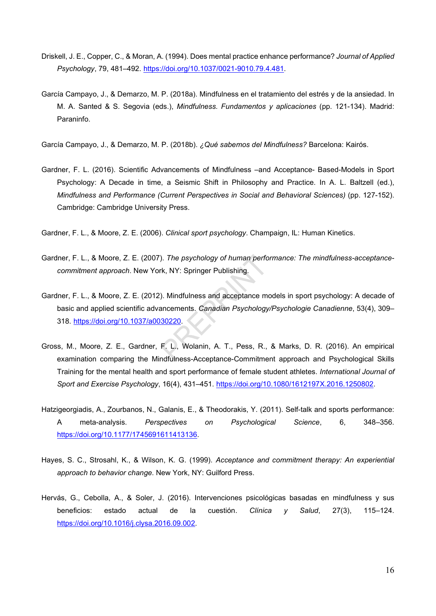- Driskell, J. E., Copper, C., & Moran, A. (1994). Does mental practice enhance performance? Journal of Applied Psychology, 79, 481–492. https://doi.org/10.1037/0021-9010.79.4.481.
- García Campayo, J., & Demarzo, M. P. (2018a). Mindfulness en el tratamiento del estrés y de la ansiedad. In M. A. Santed & S. Segovia (eds.), Mindfulness. Fundamentos y aplicaciones (pp. 121-134). Madrid: Paraninfo.

García Campayo, J., & Demarzo, M. P. (2018b). ¿Qué sabemos del Mindfulness? Barcelona: Kairós.

- Gardner, F. L. (2016). Scientific Advancements of Mindfulness –and Acceptance- Based-Models in Sport Psychology: A Decade in time, a Seismic Shift in Philosophy and Practice. In A. L. Baltzell (ed.), Mindfulness and Performance (Current Perspectives in Social and Behavioral Sciences) (pp. 127-152). Cambridge: Cambridge University Press.
- Gardner, F. L., & Moore, Z. E. (2006). Clinical sport psychology. Champaign, IL: Human Kinetics.
- Gardner, F. L., & Moore, Z. E. (2007). The psychology of human performance: The mindfulness-acceptancecommitment approach. New York, NY: Springer Publishing.
- Gardner, F. L., & Moore, Z. E. (2012). Mindfulness and acceptance models in sport psychology: A decade of basic and applied scientific advancements. Canadian Psychology/Psychologie Canadienne, 53(4), 309-318. https://doi.org/10.1037/a0030220.
- Gross, M., Moore, Z. E., Gardner, F. L., Wolanin, A. T., Pess, R., & Marks, D. R. (2016). An empirical examination comparing the Mindfulness-Acceptance-Commitment approach and Psychological Skills Training for the mental health and sport performance of female student athletes. International Journal of Sport and Exercise Psychology, 16(4), 431–451. https://doi.org/10.1080/1612197X.2016.1250802.
- Hatzigeorgiadis, A., Zourbanos, N., Galanis, E., & Theodorakis, Y. (2011). Self-talk and sports performance: A meta-analysis. Perspectives on Psychological Science, 6, 348–356. https://doi.org/10.1177/1745691611413136.
- Hayes, S. C., Strosahl, K., & Wilson, K. G. (1999). Acceptance and commitment therapy: An experiential approach to behavior change. New York, NY: Guilford Press.
- Hervás, G., Cebolla, A., & Soler, J. (2016). Intervenciones psicológicas basadas en mindfulness y sus beneficios: estado actual de la cuestión. Clínica y Salud, 27(3), 115–124. https://doi.org/10.1016/j.clysa.2016.09.002.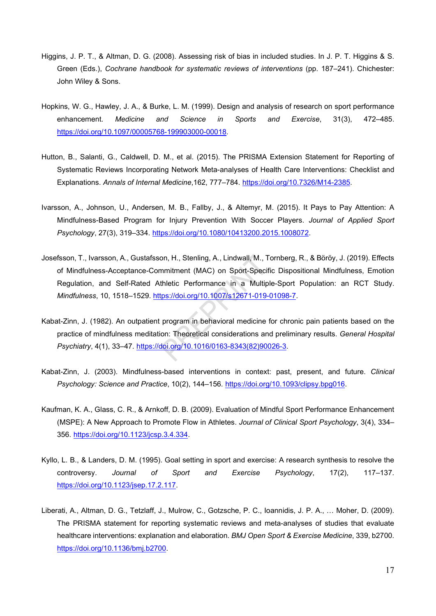- Higgins, J. P. T., & Altman, D. G. (2008). Assessing risk of bias in included studies. In J. P. T. Higgins & S. Green (Eds.), Cochrane handbook for systematic reviews of interventions (pp. 187–241). Chichester: John Wiley & Sons.
- Hopkins, W. G., Hawley, J. A., & Burke, L. M. (1999). Design and analysis of research on sport performance enhancement. Medicine and Science in Sports and Exercise, 31(3), 472–485. https://doi.org/10.1097/00005768-199903000-00018.
- Hutton, B., Salanti, G., Caldwell, D. M., et al. (2015). The PRISMA Extension Statement for Reporting of Systematic Reviews Incorporating Network Meta-analyses of Health Care Interventions: Checklist and Explanations. Annals of Internal Medicine,162, 777–784. https://doi.org/10.7326/M14-2385.
- Ivarsson, A., Johnson, U., Andersen, M. B., Fallby, J., & Altemyr, M. (2015). It Pays to Pay Attention: A Mindfulness-Based Program for Injury Prevention With Soccer Players. Journal of Applied Sport Psychology, 27(3), 319–334. https://doi.org/10.1080/10413200.2015.1008072.
- Josefsson, T., Ivarsson, A., Gustafsson, H., Stenling, A., Lindwall, M., Tornberg, R., & Böröy, J. (2019). Effects of Mindfulness-Acceptance-Commitment (MAC) on Sport-Specific Dispositional Mindfulness, Emotion Regulation, and Self-Rated Athletic Performance in a Multiple-Sport Population: an RCT Study. Mindfulness, 10, 1518–1529. https://doi.org/10.1007/s12671-019-01098-7.
- Kabat-Zinn, J. (1982). An outpatient program in behavioral medicine for chronic pain patients based on the practice of mindfulness meditation: Theoretical considerations and preliminary results. General Hospital Psychiatry, 4(1), 33–47. https://doi.org/10.1016/0163-8343(82)90026-3.
- Kabat-Zinn, J. (2003). Mindfulness-based interventions in context: past, present, and future. Clinical Psychology: Science and Practice, 10(2), 144–156. https://doi.org/10.1093/clipsy.bpg016.
- Kaufman, K. A., Glass, C. R., & Arnkoff, D. B. (2009). Evaluation of Mindful Sport Performance Enhancement (MSPE): A New Approach to Promote Flow in Athletes. Journal of Clinical Sport Psychology, 3(4), 334– 356. https://doi.org/10.1123/jcsp.3.4.334.
- Kyllo, L. B., & Landers, D. M. (1995). Goal setting in sport and exercise: A research synthesis to resolve the controversy. Journal of Sport and Exercise Psychology, 17(2), 117–137. https://doi.org/10.1123/jsep.17.2.117.
- Liberati, A., Altman, D. G., Tetzlaff, J., Mulrow, C., Gotzsche, P. C., Ioannidis, J. P. A., … Moher, D. (2009). The PRISMA statement for reporting systematic reviews and meta-analyses of studies that evaluate healthcare interventions: explanation and elaboration. BMJ Open Sport & Exercise Medicine, 339, b2700. https://doi.org/10.1136/bmj.b2700.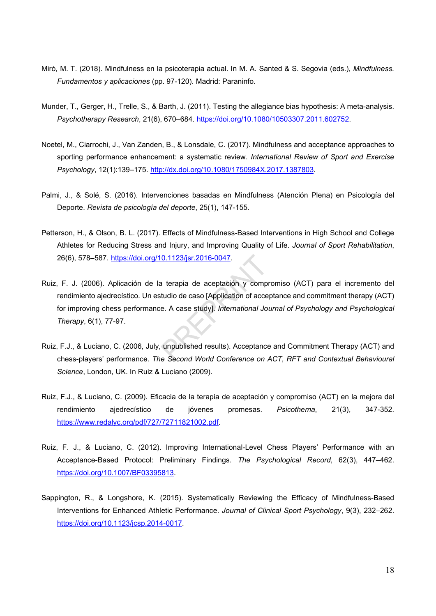- Miró, M. T. (2018). Mindfulness en la psicoterapia actual. In M. A. Santed & S. Segovia (eds.), Mindfulness. Fundamentos y aplicaciones (pp. 97-120). Madrid: Paraninfo.
- Munder, T., Gerger, H., Trelle, S., & Barth, J. (2011). Testing the allegiance bias hypothesis: A meta-analysis. Psychotherapy Research, 21(6), 670–684. https://doi.org/10.1080/10503307.2011.602752.
- Noetel, M., Ciarrochi, J., Van Zanden, B., & Lonsdale, C. (2017). Mindfulness and acceptance approaches to sporting performance enhancement: a systematic review. International Review of Sport and Exercise Psychology, 12(1):139–175. http://dx.doi.org/10.1080/1750984X.2017.1387803.
- Palmi, J., & Solé, S. (2016). Intervenciones basadas en Mindfulness (Atención Plena) en Psicología del Deporte. Revista de psicología del deporte, 25(1), 147-155.
- Petterson, H., & Olson, B. L. (2017). Effects of Mindfulness-Based Interventions in High School and College Athletes for Reducing Stress and Injury, and Improving Quality of Life. Journal of Sport Rehabilitation, 26(6), 578–587. https://doi.org/10.1123/jsr.2016-0047.
- Ruiz, F. J. (2006). Aplicación de la terapia de aceptación y compromiso (ACT) para el incremento del rendimiento ajedrecístico. Un estudio de caso [Application of acceptance and commitment therapy (ACT) for improving chess performance. A case study]. International Journal of Psychology and Psychological Therapy, 6(1), 77-97.
- Ruiz, F.J., & Luciano, C. (2006, July, unpublished results). Acceptance and Commitment Therapy (ACT) and chess-players' performance. The Second World Conference on ACT, RFT and Contextual Behavioural Science, London, UK. In Ruiz & Luciano (2009).
- Ruiz, F.J., & Luciano, C. (2009). Eficacia de la terapia de aceptación y compromiso (ACT) en la mejora del rendimiento ajedrecístico de jóvenes promesas. Psicothema, 21(3), 347-352. https://www.redalyc.org/pdf/727/72711821002.pdf.
- Ruiz, F. J., & Luciano, C. (2012). Improving International-Level Chess Players' Performance with an Acceptance-Based Protocol: Preliminary Findings. The Psychological Record, 62(3), 447–462. https://doi.org/10.1007/BF03395813.
- Sappington, R., & Longshore, K. (2015). Systematically Reviewing the Efficacy of Mindfulness-Based Interventions for Enhanced Athletic Performance. Journal of Clinical Sport Psychology, 9(3), 232–262. https://doi.org/10.1123/jcsp.2014-0017.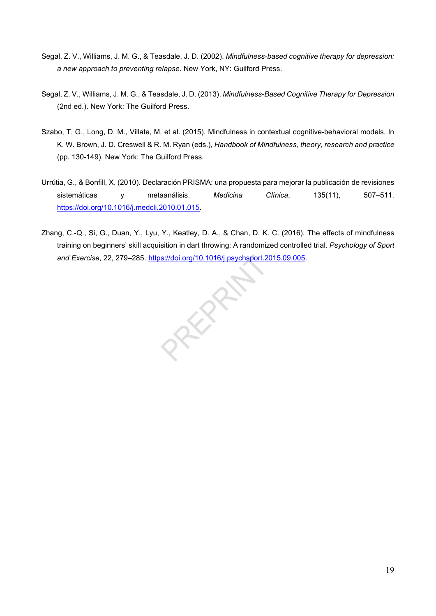- Segal, Z. V., Williams, J. M. G., & Teasdale, J. D. (2002). Mindfulness-based cognitive therapy for depression: a new approach to preventing relapse. New York, NY: Guilford Press.
- Segal, Z. V., Williams, J. M. G., & Teasdale, J. D. (2013). Mindfulness-Based Cognitive Therapy for Depression (2nd ed.). New York: The Guilford Press.
- Szabo, T. G., Long, D. M., Villate, M. et al. (2015). Mindfulness in contextual cognitive-behavioral models. In K. W. Brown, J. D. Creswell & R. M. Ryan (eds.), Handbook of Mindfulness, theory, research and practice (pp. 130-149). New York: The Guilford Press.
- Urrútia, G., & Bonfill, X. (2010). Declaración PRISMA: una propuesta para mejorar la publicación de revisiones sistemáticas y metaanálisis. Medicina Clínica, 135(11), 507–511. https://doi.org/10.1016/j.medcli.2010.01.015.
- Zhang, C.-Q., Si, G., Duan, Y., Lyu, Y., Keatley, D. A., & Chan, D. K. C. (2016). The effects of mindfulness training on beginners' skill acquisition in dart throwing: A randomized controlled trial. Psychology of Sport and Exercise, 22, 279–285. https://doi.org/10.1016/j.psychsport.2015.09.005.

**PROPE**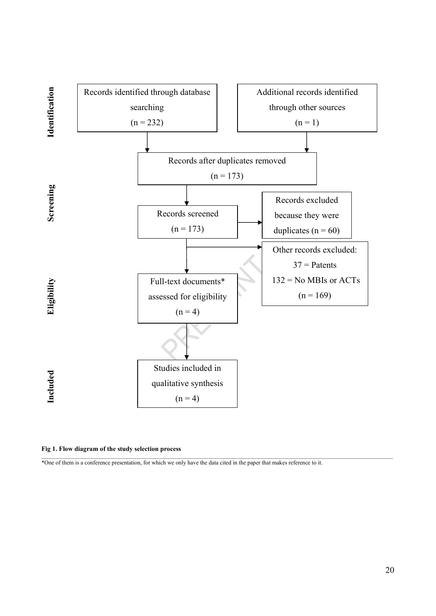

Fig 1. Flow diagram of the study selection process

\*One of them is a conference presentation, for which we only have the data cited in the paper that makes reference to it.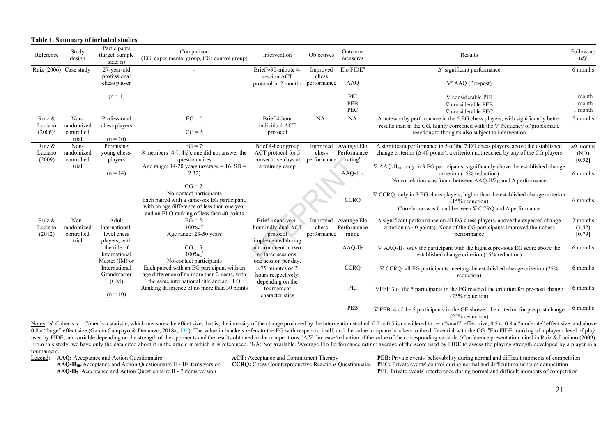| Table 1. Summary of included studies |                        |                                              |                                                                        |                                  |             |                         |                                                                                                               |                      |
|--------------------------------------|------------------------|----------------------------------------------|------------------------------------------------------------------------|----------------------------------|-------------|-------------------------|---------------------------------------------------------------------------------------------------------------|----------------------|
| Reference                            | Study<br>design        | Participants<br>(target, sample)<br>size: n) | Comparison<br>(EG: experimental group, CG: control group)              | Intervention                     | Objectives  | Outcome<br>measures     | Results                                                                                                       | Follow-up<br>$(d)^a$ |
|                                      | Ruiz (2006) Case study | 27-year-old                                  |                                                                        | Brief $\approx 90$ -minute 4-    | Improved    | $Elo$ FIDE <sup>b</sup> | $\Delta^c$ significant performance                                                                            | 6 months             |
|                                      |                        | professional                                 |                                                                        | session ACT                      | chess       |                         |                                                                                                               |                      |
|                                      |                        | chess player                                 |                                                                        | protocol in 2 months performance |             | AAQ                     | $\nabla^c$ AAQ (Pre-post)                                                                                     |                      |
|                                      |                        | $(n=1)$                                      |                                                                        |                                  |             | PEI                     | $\nabla$ considerable PEI                                                                                     | 1 month              |
|                                      |                        |                                              |                                                                        |                                  |             | PEB                     | $\nabla$ considerable PEB                                                                                     | 1 month              |
|                                      |                        |                                              |                                                                        |                                  |             | PEC                     | $\nabla$ considerable PEC                                                                                     | 1 month              |
| Ruiz &                               | Non-                   | Professional                                 | $EG = 5$                                                               | Brief 4-hour                     | $NA^e$      | NA                      | $\Delta$ noteworthy performance in the 5 EG chess players, with significantly better                          | 7 months             |
| Luciano                              | randomized             | chess players                                |                                                                        | individual ACT                   |             |                         | results than in the CG, highly correlated with the $\nabla$ frequency of problematic                          |                      |
| $(2006)^d$                           | controlled             |                                              | $CG = 5$                                                               | protocol                         |             |                         | reactions to thoughts also subject to intervention                                                            |                      |
|                                      | trial                  | $(n = 10)$                                   |                                                                        |                                  |             |                         |                                                                                                               |                      |
| Ruiz &                               | Non-                   | Promising                                    | $EG = 7$ :                                                             | Brief 4-hour group               | Improved    | Average Elo             | $\Delta$ significant performance in 5 of the 7 EG chess players, above the established                        | $\approx$ 9 months   |
| Luciano                              | randomized             | young chess-                                 | 8 members (4 $\Diamond$ , 4 $\Diamond$ ), one did not answer the       | ACT protocol for 5               | chess       | Performance             | change criterion ( $\Delta$ 40 points), a criterion not reached by any of the CG players                      | (ND)                 |
| (2009)                               | controlled             | players                                      | questionnaires                                                         | consecutive days at              | performance | rating                  |                                                                                                               | [0, 52]              |
|                                      | trial                  |                                              | Age range: 14-20 years (average = 16, $SD =$                           | a training camp                  |             |                         | $\nabla$ AAQ-II <sub>10</sub> : only in 3 EG participants, significantly above the established change         |                      |
|                                      |                        | $(n = 14)$                                   | 2.32)                                                                  |                                  |             | $AAQ-H_{10}$            | criterion (15% reduction)                                                                                     | 6 months             |
|                                      |                        |                                              | $CG = 7$ :                                                             |                                  |             |                         | No correlation was found between AAQ-IIV <sub>10</sub> and $\Delta$ performance                               |                      |
|                                      |                        |                                              |                                                                        |                                  |             |                         |                                                                                                               |                      |
|                                      |                        |                                              | No-contact participants<br>Each paired with a same-sex EG participant, |                                  |             | <b>CCRQ</b>             | $\nabla$ CCRQ: only in 3 EG chess players, higher than the established change criterion                       |                      |
|                                      |                        |                                              | with an age difference of less than one year                           |                                  |             |                         | $(15%$ reduction)                                                                                             | 6 months             |
|                                      |                        |                                              | and an ELO ranking of less than 40 points                              |                                  |             |                         | Correlation was found between $\nabla$ CCRQ and $\Delta$ performance                                          |                      |
| Ruiz &                               | Non-                   | Adult                                        | $EG = 5$ :                                                             | Brief intensive 4-               | Improved    | Average Elo             | $\Delta$ significant performance on all EG chess players, above the expected change                           | 7 months             |
| Luciano                              | randomized             | international-                               | $100\%$                                                                | hour individual ACT              | chess       | Performance             | criterion ( $\Delta$ 40 points). None of the CG participants improved their chess                             | (1, 42)              |
| (2012)                               | controlled             | level chess                                  | Age range: 23-50 years                                                 | protocol                         | performance | rating                  | performance                                                                                                   | $[0,79]$             |
|                                      | trial                  | players, with                                |                                                                        | implemented during               |             |                         |                                                                                                               |                      |
|                                      |                        | the title of                                 | $CG = 5$ :                                                             | a tournament in two              |             | $AAQ-II7$               | $\nabla$ AAQ-II <sub>7</sub> : only the participant with the highest previous EG score above the              | 6 months             |
|                                      |                        | International                                | $100\%$                                                                | or three sessions,               |             |                         | established change criterion (15% reduction)                                                                  |                      |
|                                      |                        | Master (IM) or                               | No-contact participants                                                | one session per day,             |             |                         |                                                                                                               |                      |
|                                      |                        | International                                | Each paired with an EG participant with an                             | $\approx$ 75 minutes or 2        |             | <b>CCRQ</b>             | $\nabla$ CCRQ: all EG participants meeting the established change criterion (25%)                             | 6 months             |
|                                      |                        | Grandmaster                                  | age difference of no more than 2 years, with                           | hours respectively,              |             |                         | reduction)                                                                                                    |                      |
|                                      |                        | (GM)                                         | the same international title and an ELO                                | depending on the                 |             |                         |                                                                                                               |                      |
|                                      |                        |                                              | Ranking difference of no more than 30 points                           | tournament                       |             | PEI                     | VPEI: 3 of the 5 participants in the EG reached the criterion for pre-post change                             | 6 months             |
|                                      |                        | $(n = 10)$                                   |                                                                        | characteristics                  |             |                         | $(25%$ reduction)                                                                                             |                      |
|                                      |                        |                                              |                                                                        |                                  |             | PEB                     |                                                                                                               | 6 months             |
|                                      |                        |                                              |                                                                        |                                  |             |                         | $\nabla$ PEB: 4 of the 5 participants in the GE showed the criterion for pre-post change<br>$(25%$ reduction) |                      |

Notes:  $d_i$ : Cohen's  $d =$ Cohen's d statistic, which measures the effect size, that is, the intensity of the change produced by the intervention studied, 0.2 to 0.5 is considered to be a "small" effect size, 0.5 to 0.8 a " 0.8 a "large" effect size (García Campayo & Demarzo, 2018a, 131). The value in brackets refers to the EG with respect to itself, and the value in square brackets to the differential with the CG. Elo FIDE: ranking of a play used by FIDE, and variable depending on the strength of the opponents and the results obtained in the competitions. " $\Delta \nabla$ : Increase/reduction of the value of the corresponding variable. "Conference presentation, cited From this study, we have only the data cited about it in the article in which it is referenced. NA: Not available. fAverage Elo Performance rating: average of the score used by FIDE to assess the playing strength developed tournament.

Legend: AAQ: Acceptance and Action Questionnaire

 $AAQ-H<sub>10</sub>$ : Acceptance and Action Questionnaire II - 10 items version AAQ-II7: Acceptance and Action Questionnaire II - 7 items version

ACT: Acceptance and Commitment Therapy

CCRQ: Chess Counterproductive Reactions Questionnaire PEC: Private events' control during normal and difficult moments of competition PEB: Private events' believability during normal and difficult moments of competition PEI: Private events' interference during normal and difficult moments of competition